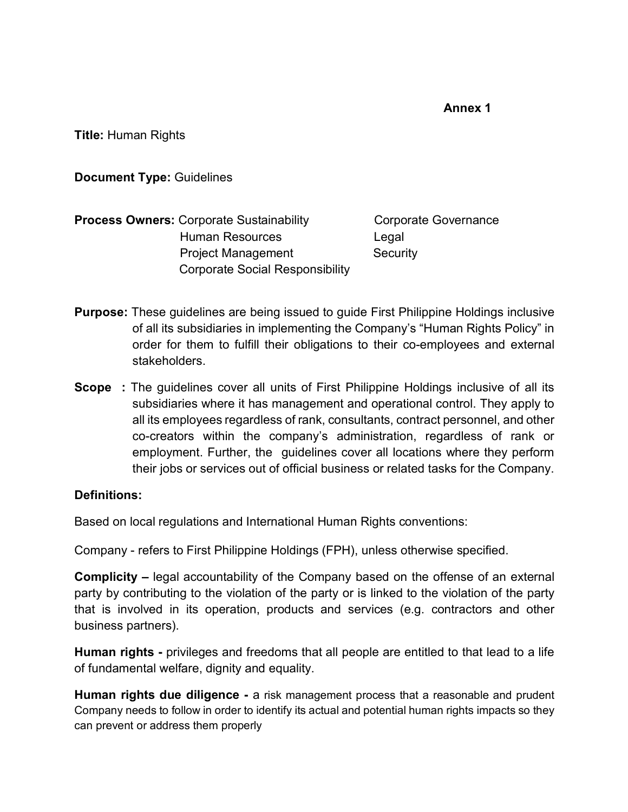**Annex 1** 

**Title:** Human Rights

**Document Type:** Guidelines

**Process Owners:** Corporate Sustainability **Corporate Governance**  Human Resources Legal Project Management Security Corporate Social Responsibility

- **Purpose:** These guidelines are being issued to guide First Philippine Holdings inclusive of all its subsidiaries in implementing the Company's "Human Rights Policy" in order for them to fulfill their obligations to their co-employees and external stakeholders.
- **Scope** : The guidelines cover all units of First Philippine Holdings inclusive of all its subsidiaries where it has management and operational control. They apply to all its employees regardless of rank, consultants, contract personnel, and other co-creators within the company's administration, regardless of rank or employment. Further, the guidelines cover all locations where they perform their jobs or services out of official business or related tasks for the Company.

#### **Definitions:**

Based on local regulations and International Human Rights conventions:

Company - refers to First Philippine Holdings (FPH), unless otherwise specified.

**Complicity –** legal accountability of the Company based on the offense of an external party by contributing to the violation of the party or is linked to the violation of the party that is involved in its operation, products and services (e.g. contractors and other business partners).

**Human rights -** privileges and freedoms that all people are entitled to that lead to a life of fundamental welfare, dignity and equality.

**Human rights due diligence -** a risk management process that a reasonable and prudent Company needs to follow in order to identify its actual and potential human rights impacts so they can prevent or address them properly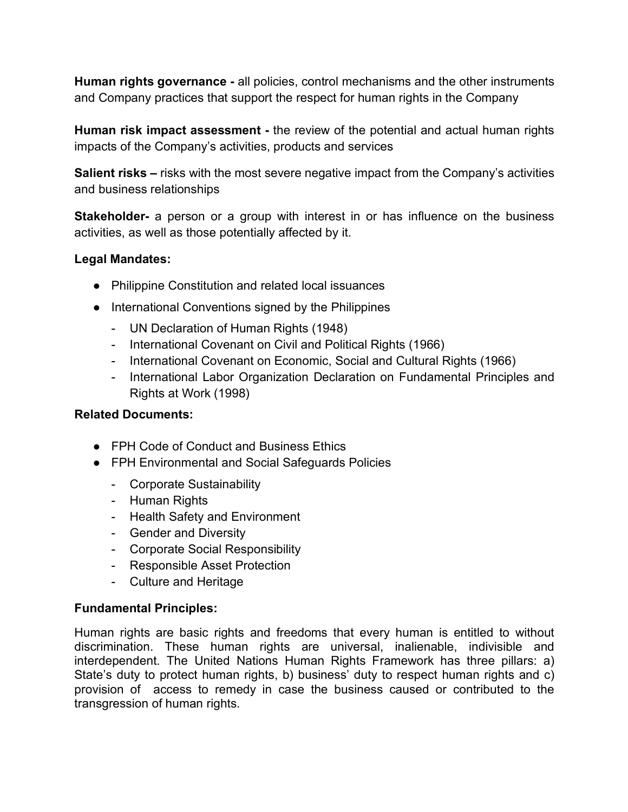**Human rights governance -** all policies, control mechanisms and the other instruments and Company practices that support the respect for human rights in the Company

**Human risk impact assessment -** the review of the potential and actual human rights impacts of the Company's activities, products and services

**Salient risks –** risks with the most severe negative impact from the Company's activities and business relationships

**Stakeholder-** a person or a group with interest in or has influence on the business activities, as well as those potentially affected by it.

#### **Legal Mandates:**

- Philippine Constitution and related local issuances
- International Conventions signed by the Philippines
	- UN Declaration of Human Rights (1948)
	- International Covenant on Civil and Political Rights (1966)
	- International Covenant on Economic, Social and Cultural Rights (1966)
	- International Labor Organization Declaration on Fundamental Principles and Rights at Work (1998)

# **Related Documents:**

- FPH Code of Conduct and Business Ethics
- FPH Environmental and Social Safeguards Policies
	- Corporate Sustainability
	- Human Rights
	- Health Safety and Environment
	- Gender and Diversity
	- Corporate Social Responsibility
	- Responsible Asset Protection
	- Culture and Heritage

#### **Fundamental Principles:**

Human rights are basic rights and freedoms that every human is entitled to without discrimination. These human rights are universal, inalienable, indivisible and interdependent. The United Nations Human Rights Framework has three pillars: a) State's duty to protect human rights, b) business' duty to respect human rights and c) provision of access to remedy in case the business caused or contributed to the transgression of human rights.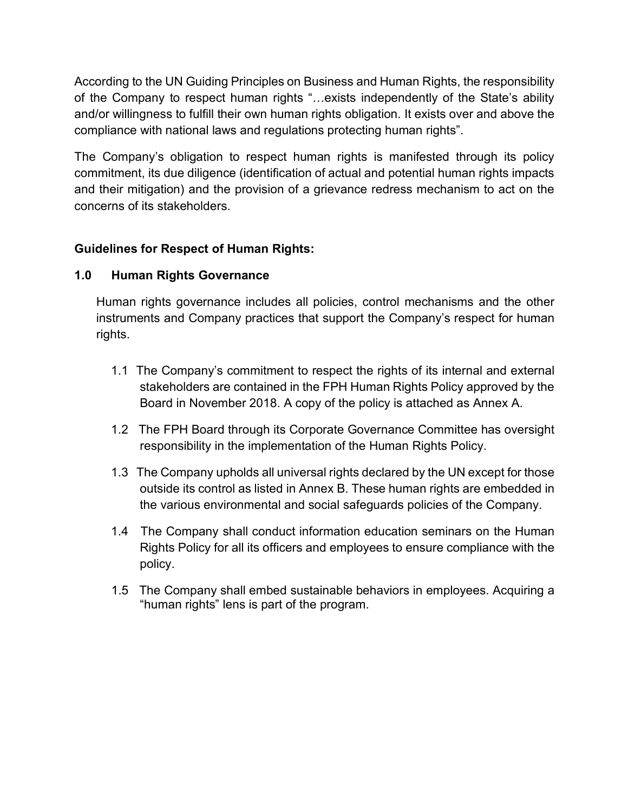According to the UN Guiding Principles on Business and Human Rights, the responsibility of the Company to respect human rights "…exists independently of the State's ability and/or willingness to fulfill their own human rights obligation. It exists over and above the compliance with national laws and regulations protecting human rights".

The Company's obligation to respect human rights is manifested through its policy commitment, its due diligence (identification of actual and potential human rights impacts and their mitigation) and the provision of a grievance redress mechanism to act on the concerns of its stakeholders.

# **Guidelines for Respect of Human Rights:**

# **1.0 Human Rights Governance**

Human rights governance includes all policies, control mechanisms and the other instruments and Company practices that support the Company's respect for human rights.

- 1.1 The Company's commitment to respect the rights of its internal and external stakeholders are contained in the FPH Human Rights Policy approved by the Board in November 2018. A copy of the policy is attached as Annex A.
- 1.2 The FPH Board through its Corporate Governance Committee has oversight responsibility in the implementation of the Human Rights Policy.
- 1.3 The Company upholds all universal rights declared by the UN except for those outside its control as listed in Annex B. These human rights are embedded in the various environmental and social safeguards policies of the Company.
- 1.4 The Company shall conduct information education seminars on the Human Rights Policy for all its officers and employees to ensure compliance with the policy.
- 1.5 The Company shall embed sustainable behaviors in employees. Acquiring a "human rights" lens is part of the program.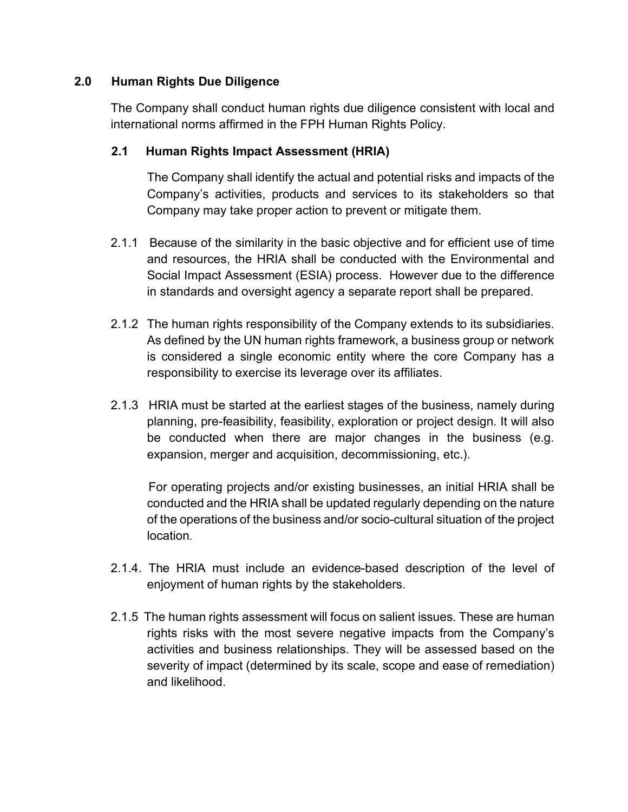## **2.0 Human Rights Due Diligence**

The Company shall conduct human rights due diligence consistent with local and international norms affirmed in the FPH Human Rights Policy.

## **2.1 Human Rights Impact Assessment (HRIA)**

The Company shall identify the actual and potential risks and impacts of the Company's activities, products and services to its stakeholders so that Company may take proper action to prevent or mitigate them.

- 2.1.1 Because of the similarity in the basic objective and for efficient use of time and resources, the HRIA shall be conducted with the Environmental and Social Impact Assessment (ESIA) process. However due to the difference in standards and oversight agency a separate report shall be prepared.
- 2.1.2 The human rights responsibility of the Company extends to its subsidiaries. As defined by the UN human rights framework, a business group or network is considered a single economic entity where the core Company has a responsibility to exercise its leverage over its affiliates.
- 2.1.3 HRIA must be started at the earliest stages of the business, namely during planning, pre-feasibility, feasibility, exploration or project design. It will also be conducted when there are major changes in the business (e.g. expansion, merger and acquisition, decommissioning, etc.).

For operating projects and/or existing businesses, an initial HRIA shall be conducted and the HRIA shall be updated regularly depending on the nature of the operations of the business and/or socio-cultural situation of the project location*.*

- 2.1.4. The HRIA must include an evidence-based description of the level of enjoyment of human rights by the stakeholders.
- 2.1.5 The human rights assessment will focus on salient issues. These are human rights risks with the most severe negative impacts from the Company's activities and business relationships. They will be assessed based on the severity of impact (determined by its scale, scope and ease of remediation) and likelihood.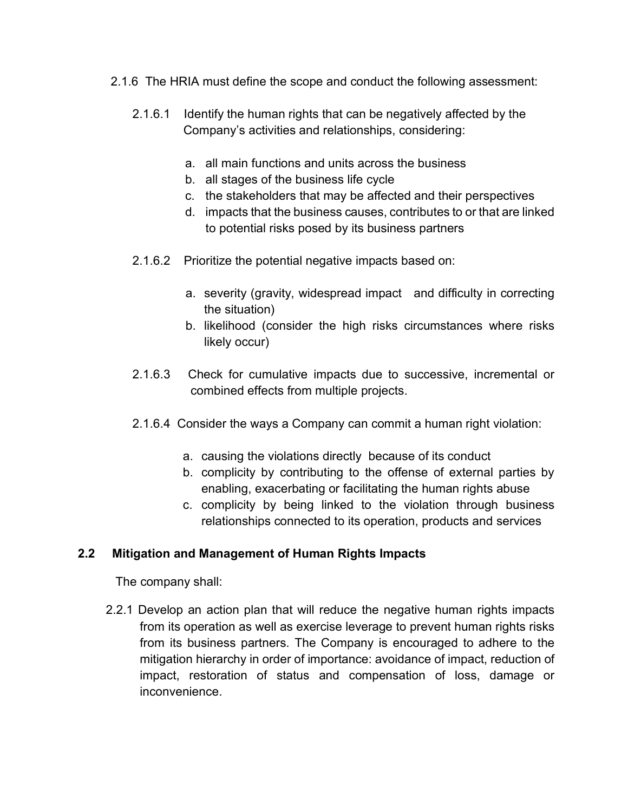- 2.1.6 The HRIA must define the scope and conduct the following assessment:
	- 2.1.6.1 Identify the human rights that can be negatively affected by the Company's activities and relationships, considering:
		- a. all main functions and units across the business
		- b. all stages of the business life cycle
		- c. the stakeholders that may be affected and their perspectives
		- d. impacts that the business causes, contributes to or that are linked to potential risks posed by its business partners
	- 2.1.6.2 Prioritize the potential negative impacts based on:
		- a. severity (gravity, widespread impact and difficulty in correcting the situation)
		- b. likelihood (consider the high risks circumstances where risks likely occur)
	- 2.1.6.3 Check for cumulative impacts due to successive, incremental or combined effects from multiple projects.
	- 2.1.6.4 Consider the ways a Company can commit a human right violation:
		- a. causing the violations directly because of its conduct
		- b. complicity by contributing to the offense of external parties by enabling, exacerbating or facilitating the human rights abuse
		- c. complicity by being linked to the violation through business relationships connected to its operation, products and services

# **2.2 Mitigation and Management of Human Rights Impacts**

The company shall:

 2.2.1 Develop an action plan that will reduce the negative human rights impacts from its operation as well as exercise leverage to prevent human rights risks from its business partners. The Company is encouraged to adhere to the mitigation hierarchy in order of importance: avoidance of impact, reduction of impact, restoration of status and compensation of loss, damage or inconvenience.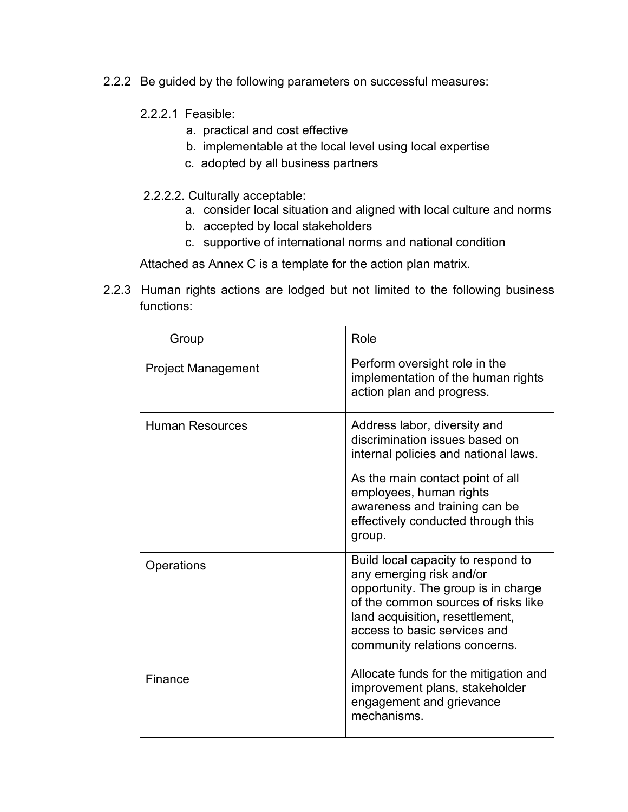- 2.2.2 Be guided by the following parameters on successful measures:
	- 2.2.2.1 Feasible:
		- a. practical and cost effective
		- b. implementable at the local level using local expertise
		- c. adopted by all business partners
	- 2.2.2.2. Culturally acceptable:
		- a. consider local situation and aligned with local culture and norms
		- b. accepted by local stakeholders
		- c. supportive of international norms and national condition

Attached as Annex C is a template for the action plan matrix.

2.2.3 Human rights actions are lodged but not limited to the following business functions:

| Group                     | Role                                                                                                                                                                                                                                                   |
|---------------------------|--------------------------------------------------------------------------------------------------------------------------------------------------------------------------------------------------------------------------------------------------------|
| <b>Project Management</b> | Perform oversight role in the<br>implementation of the human rights<br>action plan and progress.                                                                                                                                                       |
| <b>Human Resources</b>    | Address labor, diversity and<br>discrimination issues based on<br>internal policies and national laws.<br>As the main contact point of all<br>employees, human rights<br>awareness and training can be<br>effectively conducted through this<br>group. |
| Operations                | Build local capacity to respond to<br>any emerging risk and/or<br>opportunity. The group is in charge<br>of the common sources of risks like<br>land acquisition, resettlement,<br>access to basic services and<br>community relations concerns.       |
| Finance                   | Allocate funds for the mitigation and<br>improvement plans, stakeholder<br>engagement and grievance<br>mechanisms.                                                                                                                                     |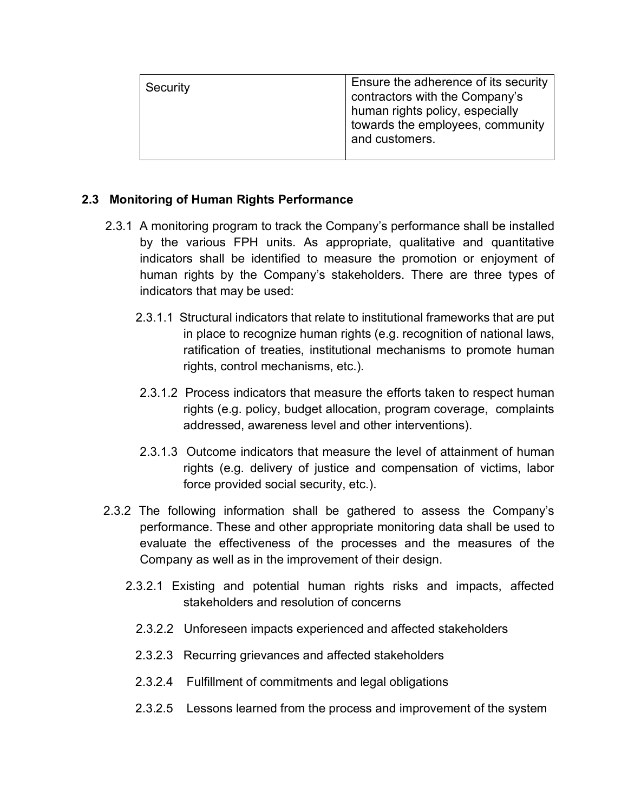| Security | Ensure the adherence of its security<br>contractors with the Company's<br>human rights policy, especially<br>towards the employees, community<br>and customers. |
|----------|-----------------------------------------------------------------------------------------------------------------------------------------------------------------|
|          |                                                                                                                                                                 |

## **2.3 Monitoring of Human Rights Performance**

- 2.3.1 A monitoring program to track the Company's performance shall be installed by the various FPH units. As appropriate, qualitative and quantitative indicators shall be identified to measure the promotion or enjoyment of human rights by the Company's stakeholders. There are three types of indicators that may be used:
	- 2.3.1.1 Structural indicators that relate to institutional frameworks that are put in place to recognize human rights (e.g. recognition of national laws, ratification of treaties, institutional mechanisms to promote human rights, control mechanisms, etc.).
	- 2.3.1.2 Process indicators that measure the efforts taken to respect human rights (e.g. policy, budget allocation, program coverage, complaints addressed, awareness level and other interventions).
	- 2.3.1.3 Outcome indicators that measure the level of attainment of human rights (e.g. delivery of justice and compensation of victims, labor force provided social security, etc.).
- 2.3.2 The following information shall be gathered to assess the Company's performance. These and other appropriate monitoring data shall be used to evaluate the effectiveness of the processes and the measures of the Company as well as in the improvement of their design.
	- 2.3.2.1 Existing and potential human rights risks and impacts, affected stakeholders and resolution of concerns
		- 2.3.2.2 Unforeseen impacts experienced and affected stakeholders
		- 2.3.2.3 Recurring grievances and affected stakeholders
		- 2.3.2.4 Fulfillment of commitments and legal obligations
		- 2.3.2.5 Lessons learned from the process and improvement of the system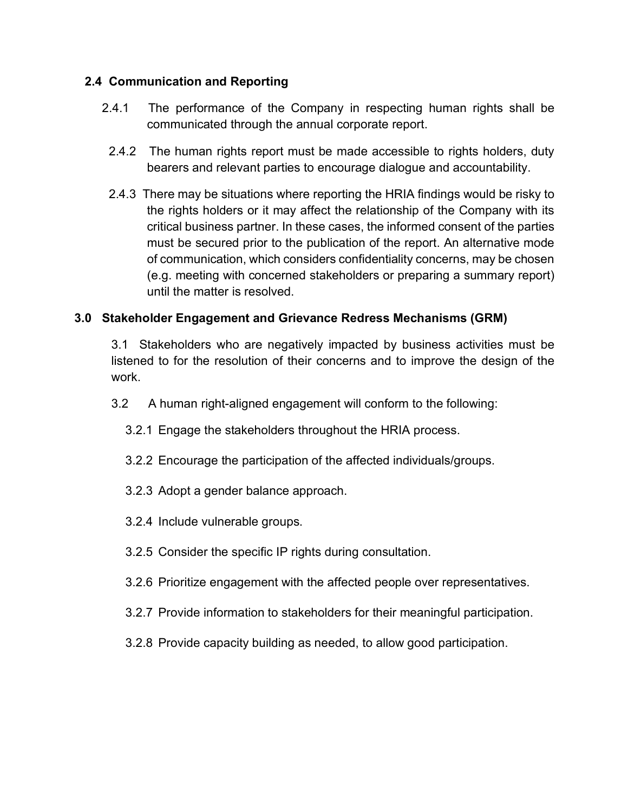# **2.4 Communication and Reporting**

- 2.4.1 The performance of the Company in respecting human rights shall be communicated through the annual corporate report.
	- 2.4.2 The human rights report must be made accessible to rights holders, duty bearers and relevant parties to encourage dialogue and accountability.
	- 2.4.3 There may be situations where reporting the HRIA findings would be risky to the rights holders or it may affect the relationship of the Company with its critical business partner. In these cases, the informed consent of the parties must be secured prior to the publication of the report. An alternative mode of communication, which considers confidentiality concerns, may be chosen (e.g. meeting with concerned stakeholders or preparing a summary report) until the matter is resolved.

# **3.0 Stakeholder Engagement and Grievance Redress Mechanisms (GRM)**

3.1 Stakeholders who are negatively impacted by business activities must be listened to for the resolution of their concerns and to improve the design of the work.

- 3.2 A human right-aligned engagement will conform to the following:
	- 3.2.1 Engage the stakeholders throughout the HRIA process.
	- 3.2.2 Encourage the participation of the affected individuals/groups.
	- 3.2.3 Adopt a gender balance approach.
	- 3.2.4 Include vulnerable groups.
	- 3.2.5 Consider the specific IP rights during consultation.
	- 3.2.6 Prioritize engagement with the affected people over representatives.
	- 3.2.7 Provide information to stakeholders for their meaningful participation.
	- 3.2.8 Provide capacity building as needed, to allow good participation.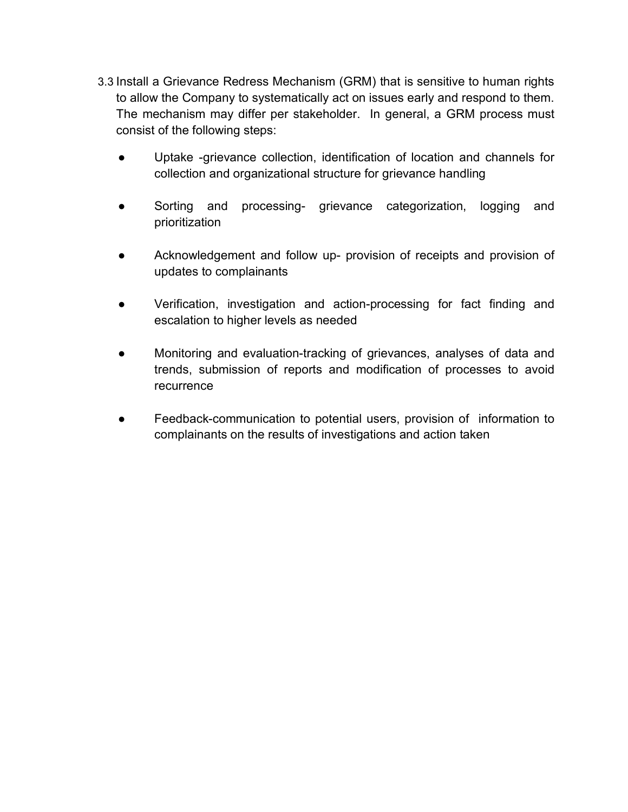- 3.3 Install a Grievance Redress Mechanism (GRM) that is sensitive to human rights to allow the Company to systematically act on issues early and respond to them. The mechanism may differ per stakeholder. In general, a GRM process must consist of the following steps:
	- Uptake -grievance collection, identification of location and channels for collection and organizational structure for grievance handling
	- Sorting and processing- grievance categorization, logging and prioritization
	- Acknowledgement and follow up- provision of receipts and provision of updates to complainants
	- Verification, investigation and action-processing for fact finding and escalation to higher levels as needed
	- Monitoring and evaluation-tracking of grievances, analyses of data and trends, submission of reports and modification of processes to avoid recurrence
	- Feedback-communication to potential users, provision of information to complainants on the results of investigations and action taken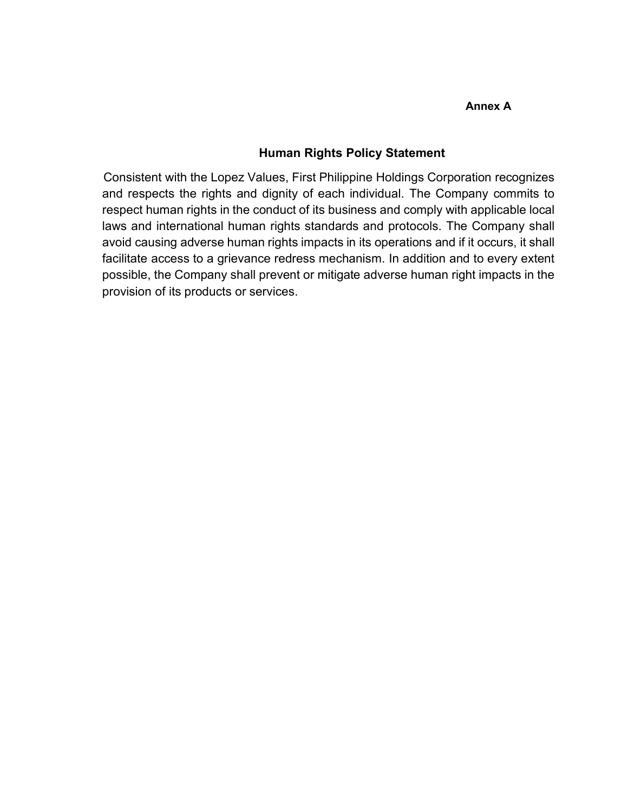#### **Annex A**

#### **Human Rights Policy Statement**

Consistent with the Lopez Values, First Philippine Holdings Corporation recognizes and respects the rights and dignity of each individual. The Company commits to respect human rights in the conduct of its business and comply with applicable local laws and international human rights standards and protocols. The Company shall avoid causing adverse human rights impacts in its operations and if it occurs, it shall facilitate access to a grievance redress mechanism. In addition and to every extent possible, the Company shall prevent or mitigate adverse human right impacts in the provision of its products or services.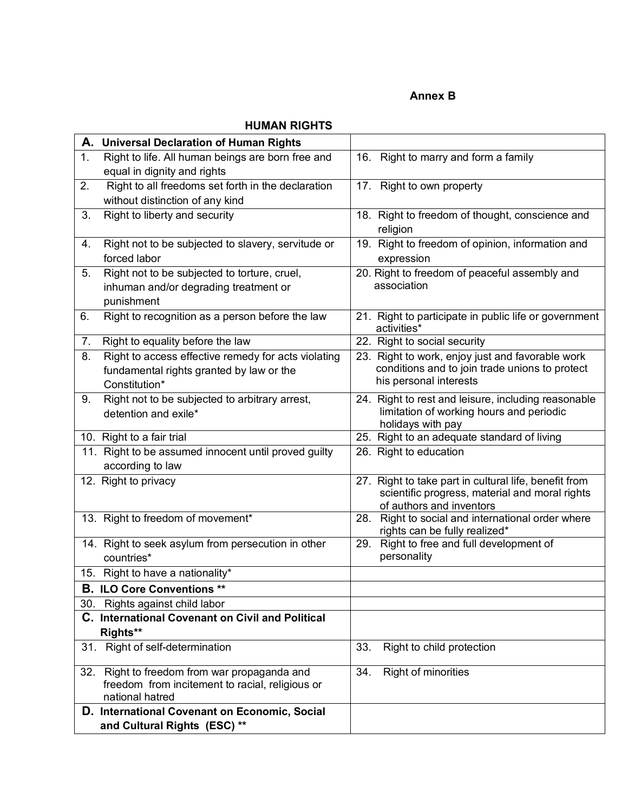#### **Annex B**

#### **HUMAN RIGHTS**

| 1.<br>Right to life. All human beings are born free and<br>16. Right to marry and form a family<br>equal in dignity and rights<br>Right to all freedoms set forth in the declaration<br>2.<br>17. Right to own property<br>without distinction of any kind<br>Right to liberty and security<br>3.<br>18. Right to freedom of thought, conscience and<br>religion<br>19. Right to freedom of opinion, information and<br>Right not to be subjected to slavery, servitude or<br>4.<br>forced labor<br>expression<br>Right not to be subjected to torture, cruel,<br>5.<br>20. Right to freedom of peaceful assembly and<br>association<br>inhuman and/or degrading treatment or<br>punishment<br>Right to recognition as a person before the law<br>21. Right to participate in public life or government<br>6.<br>activities*<br>7.<br>Right to equality before the law<br>22. Right to social security<br>23. Right to work, enjoy just and favorable work<br>8.<br>Right to access effective remedy for acts violating<br>conditions and to join trade unions to protect<br>fundamental rights granted by law or the<br>his personal interests<br>Constitution*<br>Right not to be subjected to arbitrary arrest,<br>24. Right to rest and leisure, including reasonable<br>9.<br>limitation of working hours and periodic<br>detention and exile*<br>holidays with pay<br>25. Right to an adequate standard of living<br>10. Right to a fair trial<br>11. Right to be assumed innocent until proved guilty<br>26. Right to education<br>according to law<br>27. Right to take part in cultural life, benefit from<br>12. Right to privacy<br>scientific progress, material and moral rights<br>of authors and inventors<br>13. Right to freedom of movement*<br>Right to social and international order where<br>28.<br>rights can be fully realized*<br>14. Right to seek asylum from persecution in other<br>Right to free and full development of<br>29.<br>personality<br>countries*<br>15. Right to have a nationality*<br><b>B. ILO Core Conventions **</b><br>30. Rights against child labor<br>C. International Covenant on Civil and Political<br>Rights**<br>Right of self-determination<br>Right to child protection<br>33.<br>31. | A. Universal Declaration of Human Rights |  |  |  |  |
|-------------------------------------------------------------------------------------------------------------------------------------------------------------------------------------------------------------------------------------------------------------------------------------------------------------------------------------------------------------------------------------------------------------------------------------------------------------------------------------------------------------------------------------------------------------------------------------------------------------------------------------------------------------------------------------------------------------------------------------------------------------------------------------------------------------------------------------------------------------------------------------------------------------------------------------------------------------------------------------------------------------------------------------------------------------------------------------------------------------------------------------------------------------------------------------------------------------------------------------------------------------------------------------------------------------------------------------------------------------------------------------------------------------------------------------------------------------------------------------------------------------------------------------------------------------------------------------------------------------------------------------------------------------------------------------------------------------------------------------------------------------------------------------------------------------------------------------------------------------------------------------------------------------------------------------------------------------------------------------------------------------------------------------------------------------------------------------------------------------------------------------------------------------------------------------------------------------------------------------------------|------------------------------------------|--|--|--|--|
|                                                                                                                                                                                                                                                                                                                                                                                                                                                                                                                                                                                                                                                                                                                                                                                                                                                                                                                                                                                                                                                                                                                                                                                                                                                                                                                                                                                                                                                                                                                                                                                                                                                                                                                                                                                                                                                                                                                                                                                                                                                                                                                                                                                                                                                 |                                          |  |  |  |  |
|                                                                                                                                                                                                                                                                                                                                                                                                                                                                                                                                                                                                                                                                                                                                                                                                                                                                                                                                                                                                                                                                                                                                                                                                                                                                                                                                                                                                                                                                                                                                                                                                                                                                                                                                                                                                                                                                                                                                                                                                                                                                                                                                                                                                                                                 |                                          |  |  |  |  |
|                                                                                                                                                                                                                                                                                                                                                                                                                                                                                                                                                                                                                                                                                                                                                                                                                                                                                                                                                                                                                                                                                                                                                                                                                                                                                                                                                                                                                                                                                                                                                                                                                                                                                                                                                                                                                                                                                                                                                                                                                                                                                                                                                                                                                                                 |                                          |  |  |  |  |
|                                                                                                                                                                                                                                                                                                                                                                                                                                                                                                                                                                                                                                                                                                                                                                                                                                                                                                                                                                                                                                                                                                                                                                                                                                                                                                                                                                                                                                                                                                                                                                                                                                                                                                                                                                                                                                                                                                                                                                                                                                                                                                                                                                                                                                                 |                                          |  |  |  |  |
|                                                                                                                                                                                                                                                                                                                                                                                                                                                                                                                                                                                                                                                                                                                                                                                                                                                                                                                                                                                                                                                                                                                                                                                                                                                                                                                                                                                                                                                                                                                                                                                                                                                                                                                                                                                                                                                                                                                                                                                                                                                                                                                                                                                                                                                 |                                          |  |  |  |  |
|                                                                                                                                                                                                                                                                                                                                                                                                                                                                                                                                                                                                                                                                                                                                                                                                                                                                                                                                                                                                                                                                                                                                                                                                                                                                                                                                                                                                                                                                                                                                                                                                                                                                                                                                                                                                                                                                                                                                                                                                                                                                                                                                                                                                                                                 |                                          |  |  |  |  |
|                                                                                                                                                                                                                                                                                                                                                                                                                                                                                                                                                                                                                                                                                                                                                                                                                                                                                                                                                                                                                                                                                                                                                                                                                                                                                                                                                                                                                                                                                                                                                                                                                                                                                                                                                                                                                                                                                                                                                                                                                                                                                                                                                                                                                                                 |                                          |  |  |  |  |
|                                                                                                                                                                                                                                                                                                                                                                                                                                                                                                                                                                                                                                                                                                                                                                                                                                                                                                                                                                                                                                                                                                                                                                                                                                                                                                                                                                                                                                                                                                                                                                                                                                                                                                                                                                                                                                                                                                                                                                                                                                                                                                                                                                                                                                                 |                                          |  |  |  |  |
|                                                                                                                                                                                                                                                                                                                                                                                                                                                                                                                                                                                                                                                                                                                                                                                                                                                                                                                                                                                                                                                                                                                                                                                                                                                                                                                                                                                                                                                                                                                                                                                                                                                                                                                                                                                                                                                                                                                                                                                                                                                                                                                                                                                                                                                 |                                          |  |  |  |  |
|                                                                                                                                                                                                                                                                                                                                                                                                                                                                                                                                                                                                                                                                                                                                                                                                                                                                                                                                                                                                                                                                                                                                                                                                                                                                                                                                                                                                                                                                                                                                                                                                                                                                                                                                                                                                                                                                                                                                                                                                                                                                                                                                                                                                                                                 |                                          |  |  |  |  |
|                                                                                                                                                                                                                                                                                                                                                                                                                                                                                                                                                                                                                                                                                                                                                                                                                                                                                                                                                                                                                                                                                                                                                                                                                                                                                                                                                                                                                                                                                                                                                                                                                                                                                                                                                                                                                                                                                                                                                                                                                                                                                                                                                                                                                                                 |                                          |  |  |  |  |
|                                                                                                                                                                                                                                                                                                                                                                                                                                                                                                                                                                                                                                                                                                                                                                                                                                                                                                                                                                                                                                                                                                                                                                                                                                                                                                                                                                                                                                                                                                                                                                                                                                                                                                                                                                                                                                                                                                                                                                                                                                                                                                                                                                                                                                                 |                                          |  |  |  |  |
|                                                                                                                                                                                                                                                                                                                                                                                                                                                                                                                                                                                                                                                                                                                                                                                                                                                                                                                                                                                                                                                                                                                                                                                                                                                                                                                                                                                                                                                                                                                                                                                                                                                                                                                                                                                                                                                                                                                                                                                                                                                                                                                                                                                                                                                 |                                          |  |  |  |  |
|                                                                                                                                                                                                                                                                                                                                                                                                                                                                                                                                                                                                                                                                                                                                                                                                                                                                                                                                                                                                                                                                                                                                                                                                                                                                                                                                                                                                                                                                                                                                                                                                                                                                                                                                                                                                                                                                                                                                                                                                                                                                                                                                                                                                                                                 |                                          |  |  |  |  |
|                                                                                                                                                                                                                                                                                                                                                                                                                                                                                                                                                                                                                                                                                                                                                                                                                                                                                                                                                                                                                                                                                                                                                                                                                                                                                                                                                                                                                                                                                                                                                                                                                                                                                                                                                                                                                                                                                                                                                                                                                                                                                                                                                                                                                                                 |                                          |  |  |  |  |
|                                                                                                                                                                                                                                                                                                                                                                                                                                                                                                                                                                                                                                                                                                                                                                                                                                                                                                                                                                                                                                                                                                                                                                                                                                                                                                                                                                                                                                                                                                                                                                                                                                                                                                                                                                                                                                                                                                                                                                                                                                                                                                                                                                                                                                                 |                                          |  |  |  |  |
|                                                                                                                                                                                                                                                                                                                                                                                                                                                                                                                                                                                                                                                                                                                                                                                                                                                                                                                                                                                                                                                                                                                                                                                                                                                                                                                                                                                                                                                                                                                                                                                                                                                                                                                                                                                                                                                                                                                                                                                                                                                                                                                                                                                                                                                 |                                          |  |  |  |  |
|                                                                                                                                                                                                                                                                                                                                                                                                                                                                                                                                                                                                                                                                                                                                                                                                                                                                                                                                                                                                                                                                                                                                                                                                                                                                                                                                                                                                                                                                                                                                                                                                                                                                                                                                                                                                                                                                                                                                                                                                                                                                                                                                                                                                                                                 |                                          |  |  |  |  |
|                                                                                                                                                                                                                                                                                                                                                                                                                                                                                                                                                                                                                                                                                                                                                                                                                                                                                                                                                                                                                                                                                                                                                                                                                                                                                                                                                                                                                                                                                                                                                                                                                                                                                                                                                                                                                                                                                                                                                                                                                                                                                                                                                                                                                                                 |                                          |  |  |  |  |
|                                                                                                                                                                                                                                                                                                                                                                                                                                                                                                                                                                                                                                                                                                                                                                                                                                                                                                                                                                                                                                                                                                                                                                                                                                                                                                                                                                                                                                                                                                                                                                                                                                                                                                                                                                                                                                                                                                                                                                                                                                                                                                                                                                                                                                                 |                                          |  |  |  |  |
|                                                                                                                                                                                                                                                                                                                                                                                                                                                                                                                                                                                                                                                                                                                                                                                                                                                                                                                                                                                                                                                                                                                                                                                                                                                                                                                                                                                                                                                                                                                                                                                                                                                                                                                                                                                                                                                                                                                                                                                                                                                                                                                                                                                                                                                 |                                          |  |  |  |  |
|                                                                                                                                                                                                                                                                                                                                                                                                                                                                                                                                                                                                                                                                                                                                                                                                                                                                                                                                                                                                                                                                                                                                                                                                                                                                                                                                                                                                                                                                                                                                                                                                                                                                                                                                                                                                                                                                                                                                                                                                                                                                                                                                                                                                                                                 |                                          |  |  |  |  |
|                                                                                                                                                                                                                                                                                                                                                                                                                                                                                                                                                                                                                                                                                                                                                                                                                                                                                                                                                                                                                                                                                                                                                                                                                                                                                                                                                                                                                                                                                                                                                                                                                                                                                                                                                                                                                                                                                                                                                                                                                                                                                                                                                                                                                                                 |                                          |  |  |  |  |
| 32. Right to freedom from war propaganda and<br>34.<br>Right of minorities<br>freedom from incitement to racial, religious or<br>national hatred                                                                                                                                                                                                                                                                                                                                                                                                                                                                                                                                                                                                                                                                                                                                                                                                                                                                                                                                                                                                                                                                                                                                                                                                                                                                                                                                                                                                                                                                                                                                                                                                                                                                                                                                                                                                                                                                                                                                                                                                                                                                                                |                                          |  |  |  |  |
| D. International Covenant on Economic, Social<br>and Cultural Rights (ESC) **                                                                                                                                                                                                                                                                                                                                                                                                                                                                                                                                                                                                                                                                                                                                                                                                                                                                                                                                                                                                                                                                                                                                                                                                                                                                                                                                                                                                                                                                                                                                                                                                                                                                                                                                                                                                                                                                                                                                                                                                                                                                                                                                                                   |                                          |  |  |  |  |